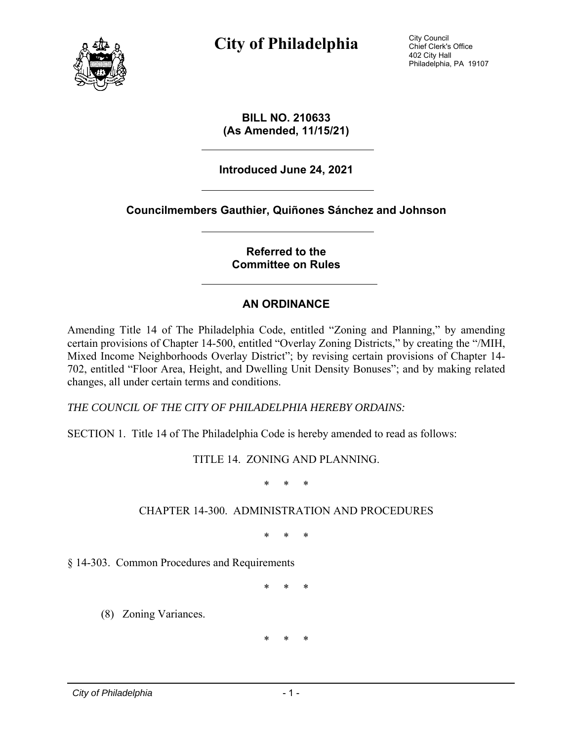

**City of Philadelphia** City Council

Chief Clerk's Office 402 City Hall Philadelphia, PA 19107

**BILL NO. 210633 (As Amended, 11/15/21)** 

**Introduced June 24, 2021** 

**Councilmembers Gauthier, Quiñones Sánchez and Johnson** 

#### **Referred to the Committee on Rules**

#### **AN ORDINANCE**

Amending Title 14 of The Philadelphia Code, entitled "Zoning and Planning," by amending certain provisions of Chapter 14-500, entitled "Overlay Zoning Districts," by creating the "/MIH, Mixed Income Neighborhoods Overlay District"; by revising certain provisions of Chapter 14- 702, entitled "Floor Area, Height, and Dwelling Unit Density Bonuses"; and by making related changes, all under certain terms and conditions.

*THE COUNCIL OF THE CITY OF PHILADELPHIA HEREBY ORDAINS:* 

SECTION 1. Title 14 of The Philadelphia Code is hereby amended to read as follows:

TITLE 14. ZONING AND PLANNING.

\* \* \*

#### CHAPTER 14-300. ADMINISTRATION AND PROCEDURES

\* \* \*

§ 14-303. Common Procedures and Requirements

\* \* \*

(8) Zoning Variances.

\* \* \*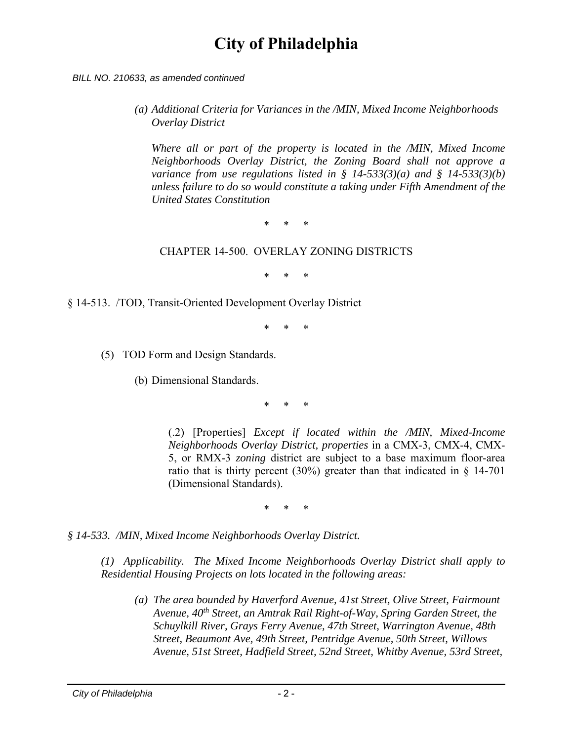*BILL NO. 210633, as amended continued*

*(a) Additional Criteria for Variances in the /MIN, Mixed Income Neighborhoods Overlay District* 

*Where all or part of the property is located in the /MIN, Mixed Income Neighborhoods Overlay District, the Zoning Board shall not approve a variance from use regulations listed in § 14-533(3)(a) and § 14-533(3)(b) unless failure to do so would constitute a taking under Fifth Amendment of the United States Constitution* 

\* \* \*

#### CHAPTER 14-500. OVERLAY ZONING DISTRICTS

\* \* \*

§ 14-513. /TOD, Transit-Oriented Development Overlay District

\* \* \*

(5) TOD Form and Design Standards.

(b) Dimensional Standards.

\* \* \*

(.2) [Properties] *Except if located within the /MIN, Mixed-Income Neighborhoods Overlay District, properties* in a CMX-3, CMX-4, CMX-5, or RMX-3 *zoning* district are subject to a base maximum floor-area ratio that is thirty percent (30%) greater than that indicated in  $\S$  14-701 (Dimensional Standards).

\* \* \*

*§ 14-533. /MIN, Mixed Income Neighborhoods Overlay District.* 

*(1) Applicability. The Mixed Income Neighborhoods Overlay District shall apply to Residential Housing Projects on lots located in the following areas:* 

*(a) The area bounded by Haverford Avenue, 41st Street, Olive Street, Fairmount Avenue, 40th Street, an Amtrak Rail Right-of-Way, Spring Garden Street, the Schuylkill River, Grays Ferry Avenue, 47th Street, Warrington Avenue, 48th Street, Beaumont Ave, 49th Street, Pentridge Avenue, 50th Street, Willows Avenue, 51st Street, Hadfield Street, 52nd Street, Whitby Avenue, 53rd Street,*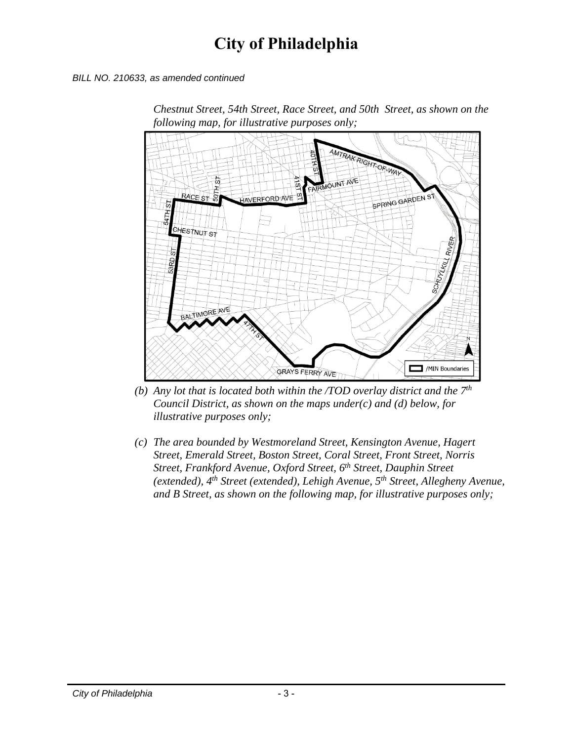*BILL NO. 210633, as amended continued*



*Chestnut Street, 54th Street, Race Street, and 50th Street, as shown on the following map, for illustrative purposes only;* 

- *(b) Any lot that is located both within the /TOD overlay district and the 7th Council District, as shown on the maps under(c) and (d) below, for illustrative purposes only;*
- *(c) The area bounded by Westmoreland Street, Kensington Avenue, Hagert Street, Emerald Street, Boston Street, Coral Street, Front Street, Norris Street, Frankford Avenue, Oxford Street, 6th Street, Dauphin Street (extended), 4th Street (extended), Lehigh Avenue, 5th Street, Allegheny Avenue, and B Street, as shown on the following map, for illustrative purposes only;*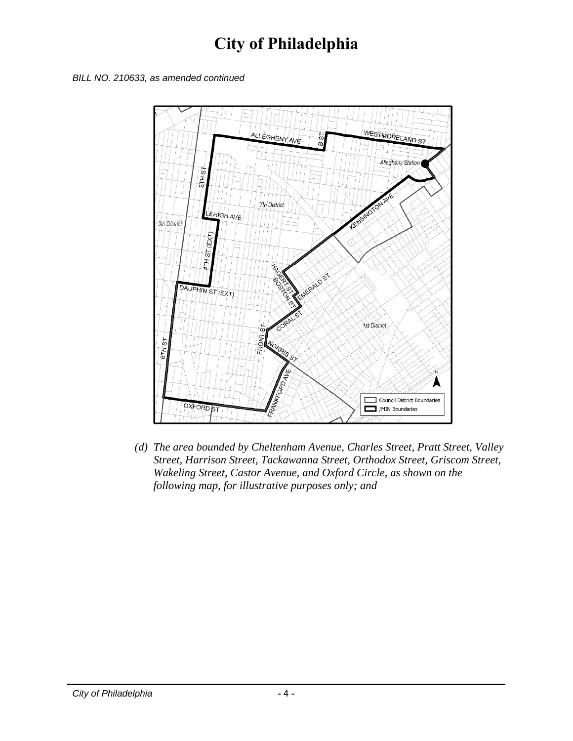*BILL NO. 210633, as amended continued*



*(d) The area bounded by Cheltenham Avenue, Charles Street, Pratt Street, Valley Street, Harrison Street, Tackawanna Street, Orthodox Street, Griscom Street, Wakeling Street, Castor Avenue, and Oxford Circle, as shown on the following map, for illustrative purposes only; and*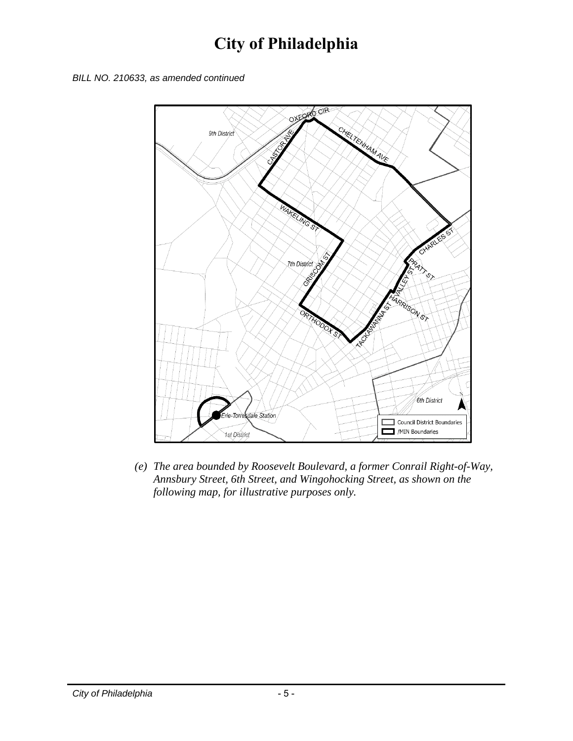



*(e) The area bounded by Roosevelt Boulevard, a former Conrail Right-of-Way, Annsbury Street, 6th Street, and Wingohocking Street, as shown on the following map, for illustrative purposes only.*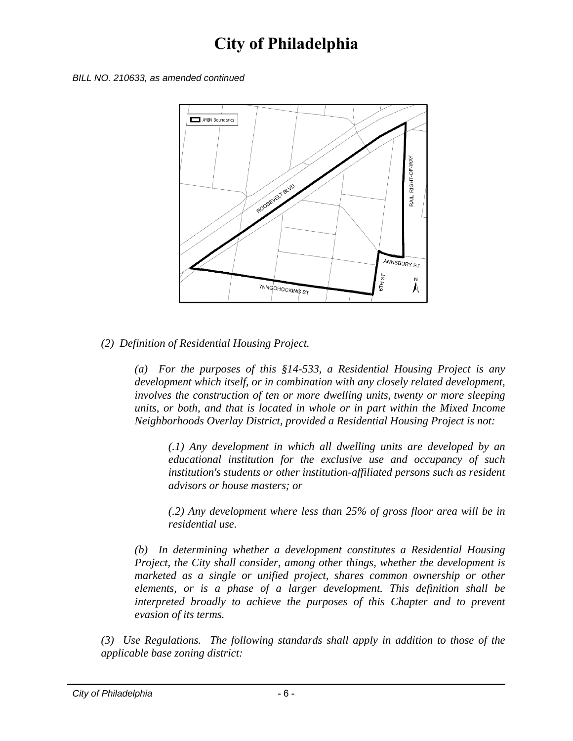



#### *(2) Definition of Residential Housing Project.*

*(a) For the purposes of this §14-533, a Residential Housing Project is any development which itself, or in combination with any closely related development, involves the construction of ten or more dwelling units, twenty or more sleeping units, or both, and that is located in whole or in part within the Mixed Income Neighborhoods Overlay District, provided a Residential Housing Project is not:* 

*(.1) Any development in which all dwelling units are developed by an educational institution for the exclusive use and occupancy of such*  institution's students or other institution-affiliated persons such as resident *advisors or house masters; or* 

*(.2) Any development where less than 25% of gross floor area will be in residential use.* 

*(b) In determining whether a development constitutes a Residential Housing Project, the City shall consider, among other things, whether the development is marketed as a single or unified project, shares common ownership or other elements, or is a phase of a larger development. This definition shall be interpreted broadly to achieve the purposes of this Chapter and to prevent evasion of its terms.* 

*(3) Use Regulations. The following standards shall apply in addition to those of the applicable base zoning district:*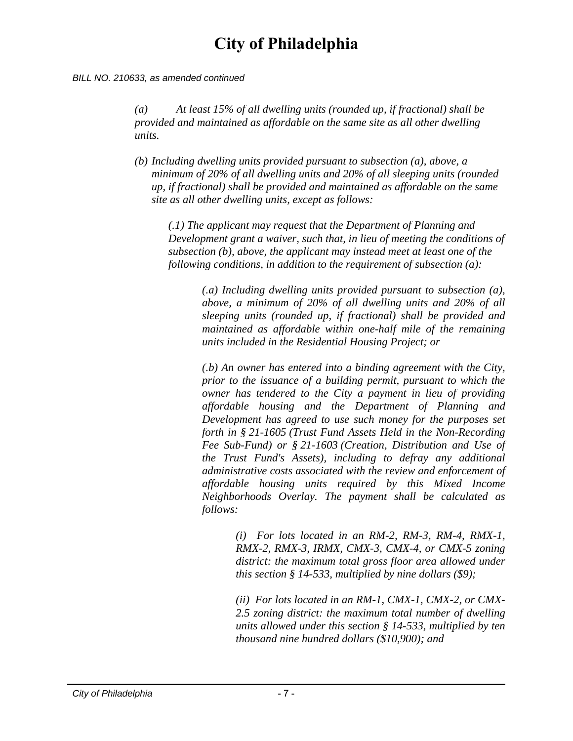#### *BILL NO. 210633, as amended continued*

*(a) At least 15% of all dwelling units (rounded up, if fractional) shall be provided and maintained as affordable on the same site as all other dwelling units.* 

*(b) Including dwelling units provided pursuant to subsection (a), above, a minimum of 20% of all dwelling units and 20% of all sleeping units (rounded up, if fractional) shall be provided and maintained as affordable on the same site as all other dwelling units, except as follows:* 

*(.1) The applicant may request that the Department of Planning and Development grant a waiver, such that, in lieu of meeting the conditions of subsection (b), above, the applicant may instead meet at least one of the following conditions, in addition to the requirement of subsection (a):* 

> *(.a) Including dwelling units provided pursuant to subsection (a), above, a minimum of 20% of all dwelling units and 20% of all sleeping units (rounded up, if fractional) shall be provided and maintained as affordable within one-half mile of the remaining units included in the Residential Housing Project; or*

> *(.b) An owner has entered into a binding agreement with the City, prior to the issuance of a building permit, pursuant to which the owner has tendered to the City a payment in lieu of providing affordable housing and the Department of Planning and Development has agreed to use such money for the purposes set forth in § 21-1605 (Trust Fund Assets Held in the Non-Recording Fee Sub-Fund) or § 21-1603 (Creation, Distribution and Use of the Trust Fund's Assets), including to defray any additional administrative costs associated with the review and enforcement of affordable housing units required by this Mixed Income Neighborhoods Overlay. The payment shall be calculated as follows:*

> > *(i) For lots located in an RM-2, RM-3, RM-4, RMX-1, RMX-2, RMX-3, IRMX, CMX-3, CMX-4, or CMX-5 zoning district: the maximum total gross floor area allowed under this section § 14-533, multiplied by nine dollars (\$9);*

> > *(ii) For lots located in an RM-1, CMX-1, CMX-2, or CMX-2.5 zoning district: the maximum total number of dwelling units allowed under this section § 14-533, multiplied by ten thousand nine hundred dollars (\$10,900); and*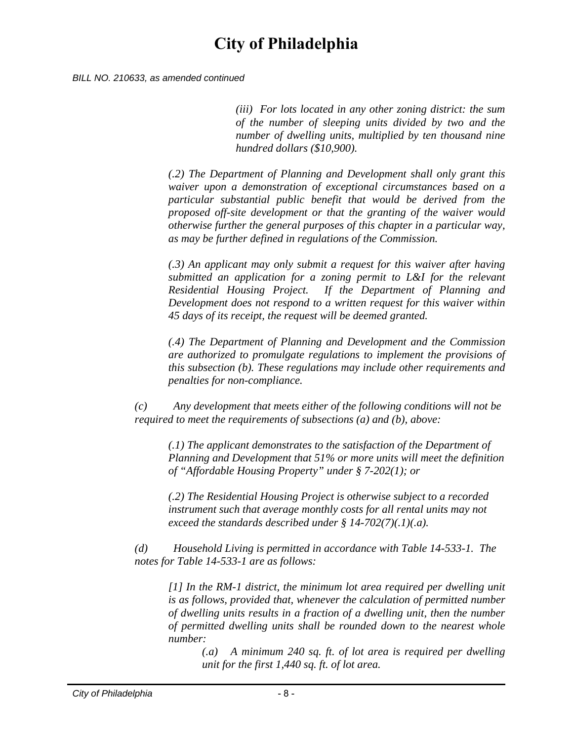*BILL NO. 210633, as amended continued*

*(iii) For lots located in any other zoning district: the sum of the number of sleeping units divided by two and the number of dwelling units, multiplied by ten thousand nine hundred dollars (\$10,900).* 

*(.2) The Department of Planning and Development shall only grant this waiver upon a demonstration of exceptional circumstances based on a particular substantial public benefit that would be derived from the proposed off-site development or that the granting of the waiver would otherwise further the general purposes of this chapter in a particular way, as may be further defined in regulations of the Commission.* 

*(.3) An applicant may only submit a request for this waiver after having submitted an application for a zoning permit to L&I for the relevant Residential Housing Project. If the Department of Planning and Development does not respond to a written request for this waiver within 45 days of its receipt, the request will be deemed granted.* 

*(.4) The Department of Planning and Development and the Commission are authorized to promulgate regulations to implement the provisions of this subsection (b). These regulations may include other requirements and penalties for non-compliance.* 

*(c) Any development that meets either of the following conditions will not be required to meet the requirements of subsections (a) and (b), above:* 

*(.1) The applicant demonstrates to the satisfaction of the Department of Planning and Development that 51% or more units will meet the definition of "Affordable Housing Property" under § 7-202(1); or* 

*(.2) The Residential Housing Project is otherwise subject to a recorded instrument such that average monthly costs for all rental units may not exceed the standards described under § 14-702(7)(.1)(.a).* 

*(d) Household Living is permitted in accordance with Table 14-533-1. The notes for Table 14-533-1 are as follows:* 

*[1] In the RM-1 district, the minimum lot area required per dwelling unit is as follows, provided that, whenever the calculation of permitted number of dwelling units results in a fraction of a dwelling unit, then the number of permitted dwelling units shall be rounded down to the nearest whole number:* 

*(.a) A minimum 240 sq. ft. of lot area is required per dwelling unit for the first 1,440 sq. ft. of lot area.*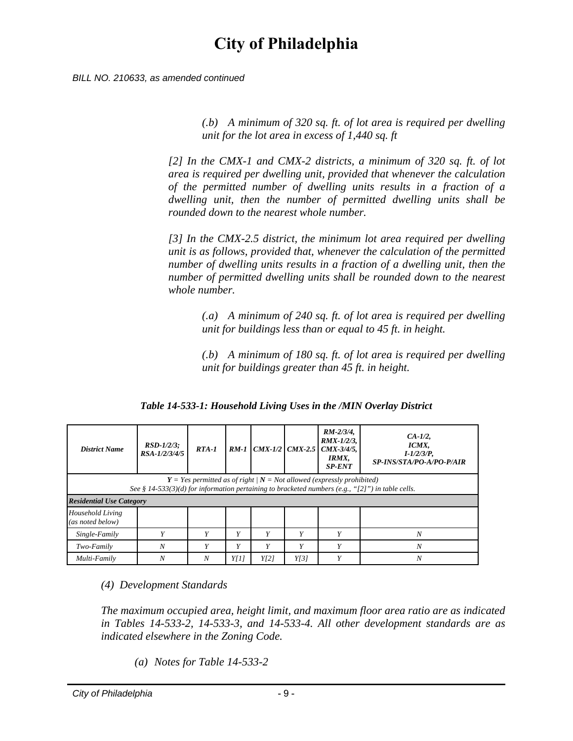*BILL NO. 210633, as amended continued*

*(.b) A minimum of 320 sq. ft. of lot area is required per dwelling unit for the lot area in excess of 1,440 sq. ft* 

*[2] In the CMX-1 and CMX-2 districts, a minimum of 320 sq. ft. of lot area is required per dwelling unit, provided that whenever the calculation of the permitted number of dwelling units results in a fraction of a dwelling unit, then the number of permitted dwelling units shall be rounded down to the nearest whole number.* 

*[3] In the CMX-2.5 district, the minimum lot area required per dwelling unit is as follows, provided that, whenever the calculation of the permitted number of dwelling units results in a fraction of a dwelling unit, then the number of permitted dwelling units shall be rounded down to the nearest whole number.* 

*(.a) A minimum of 240 sq. ft. of lot area is required per dwelling unit for buildings less than or equal to 45 ft. in height.* 

*(.b) A minimum of 180 sq. ft. of lot area is required per dwelling unit for buildings greater than 45 ft. in height.* 

*District Name RSD-1/2/3; RSA-1/2/3/4/5 RTA-1 RM-1 CMX-1/2 CMX-2.5 RM-2/3/4, RMX-1/2/3, CMX-3/4/5, IRMX, SP-ENT CA-1/2, ICMX, I-1/2/3/P, SP-INS/STA/PO-A/PO-P/AIR Y = Yes permitted as of right | N = Not allowed (expressly prohibited) See § 14-533(3)(d) for information pertaining to bracketed numbers (e.g., "[2]") in table cells. Residential Use Category Household Living (as noted below) Single-Family Y Y Y Y Y Y N Two-Family N Y Y Y Y Y N Multi-Family N N Y[1] Y[2] Y[3] Y N*

*Table 14-533-1: Household Living Uses in the /MIN Overlay District*

*(4) Development Standards* 

*The maximum occupied area, height limit, and maximum floor area ratio are as indicated in Tables 14-533-2, 14-533-3, and 14-533-4. All other development standards are as indicated elsewhere in the Zoning Code.* 

*(a) Notes for Table 14-533-2*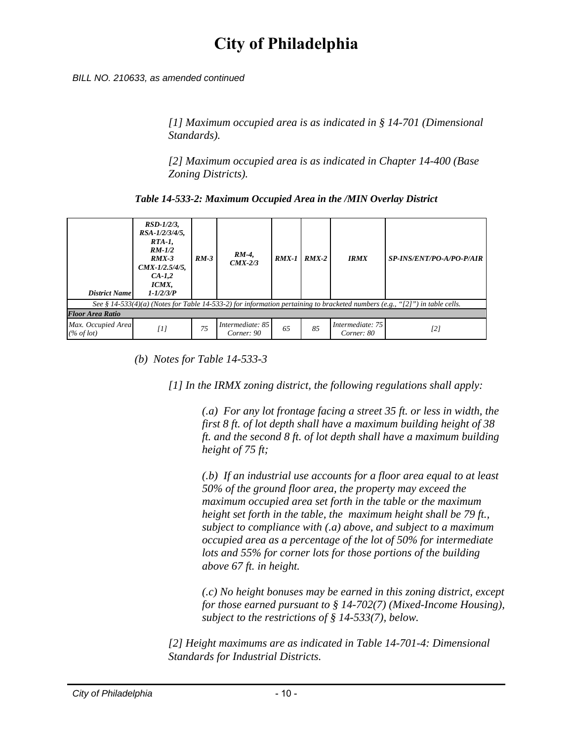*BILL NO. 210633, as amended continued*

*[1] Maximum occupied area is as indicated in § 14-701 (Dimensional Standards).* 

*[2] Maximum occupied area is as indicated in Chapter 14-400 (Base Zoning Districts).* 

*Table 14-533-2: Maximum Occupied Area in the /MIN Overlay District*

| <b>District Name</b>                                                                                                        | $RSD-1/2/3$ ,<br>$RSA-1/2/3/4/5$ ,<br>$RTA-1$ ,<br>$RM-1/2$<br>$RMX-3$<br>$CMX-1/2.5/4/5$ ,<br>$CA-I,2$<br>ICMX,<br>$1 - 1/2/3/P$ | $RM-3$ | RM-4,<br>$CMX-2/3$             | $RMX-1$ | $RMX-2$ | <b>IRMX</b>                    | <b>SP-INS/ENT/PO-A/PO-P/AIR</b> |  |  |  |
|-----------------------------------------------------------------------------------------------------------------------------|-----------------------------------------------------------------------------------------------------------------------------------|--------|--------------------------------|---------|---------|--------------------------------|---------------------------------|--|--|--|
| See § 14-533(4)(a) (Notes for Table 14-533-2) for information pertaining to bracketed numbers (e.g., "[2]") in table cells. |                                                                                                                                   |        |                                |         |         |                                |                                 |  |  |  |
| Floor Area Ratio                                                                                                            |                                                                                                                                   |        |                                |         |         |                                |                                 |  |  |  |
| Max. Occupied Area<br>$(\%$ of lot)                                                                                         | $[1]$                                                                                                                             | 75     | Intermediate: 85<br>Corner: 90 | 65      | 85      | Intermediate: 75<br>Corner: 80 | [2]                             |  |  |  |

*(b) Notes for Table 14-533-3* 

*[1] In the IRMX zoning district, the following regulations shall apply:* 

*(.a) For any lot frontage facing a street 35 ft. or less in width, the first 8 ft. of lot depth shall have a maximum building height of 38 ft. and the second 8 ft. of lot depth shall have a maximum building height of 75 ft;* 

*(.b) If an industrial use accounts for a floor area equal to at least 50% of the ground floor area, the property may exceed the maximum occupied area set forth in the table or the maximum height set forth in the table, the maximum height shall be 79 ft., subject to compliance with (.a) above, and subject to a maximum occupied area as a percentage of the lot of 50% for intermediate lots and 55% for corner lots for those portions of the building above 67 ft. in height.* 

*(.c) No height bonuses may be earned in this zoning district, except for those earned pursuant to § 14-702(7) (Mixed-Income Housing), subject to the restrictions of § 14-533(7), below.* 

*[2] Height maximums are as indicated in Table 14-701-4: Dimensional Standards for Industrial Districts.*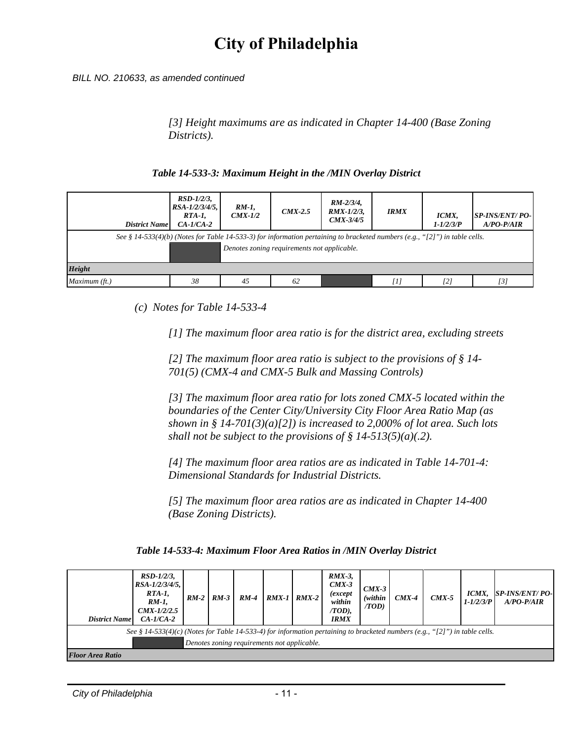*BILL NO. 210633, as amended continued*

*[3] Height maximums are as indicated in Chapter 14-400 (Base Zoning Districts).* 

#### *Table 14-533-3: Maximum Height in the /MIN Overlay District*

| <b>District Name</b>                                                                                                                                                       | $RSD-1/2/3$ ,<br>$RSA - 1/2/3/4/5$ ,<br>$RTA-I$<br>$CA-I/CA-2$ | $RM-1$ ,<br>$CMX-1/2$ | $CMX-2.5$ | $RM-2/3/4$ ,<br>$RMX-1/2/3$ ,<br>$CMX-3/4/5$ | <b>IRMX</b> | ICMX,<br>$1 - 1/2/3/P$ | <b>SP-INS/ENT/ PO-</b><br>$A/PO-P/AIR$ |  |  |
|----------------------------------------------------------------------------------------------------------------------------------------------------------------------------|----------------------------------------------------------------|-----------------------|-----------|----------------------------------------------|-------------|------------------------|----------------------------------------|--|--|
| See § 14-533(4)(b) (Notes for Table 14-533-3) for information pertaining to bracketed numbers (e.g., "[2]") in table cells.<br>Denotes zoning requirements not applicable. |                                                                |                       |           |                                              |             |                        |                                        |  |  |
| <b>Height</b>                                                                                                                                                              |                                                                |                       |           |                                              |             |                        |                                        |  |  |
| Maximum (ft.)                                                                                                                                                              | 38                                                             | 45                    | 62        |                                              | [1]         | [2]                    | [3]                                    |  |  |

*(c) Notes for Table 14-533-4* 

*[1] The maximum floor area ratio is for the district area, excluding streets* 

*[2] The maximum floor area ratio is subject to the provisions of § 14- 701(5) (CMX-4 and CMX-5 Bulk and Massing Controls)* 

*[3] The maximum floor area ratio for lots zoned CMX-5 located within the boundaries of the Center City/University City Floor Area Ratio Map (as shown in § 14-701(3)(a)[2]) is increased to 2,000% of lot area. Such lots shall not be subject to the provisions of § 14-513(5)(a)(.2).* 

*[4] The maximum floor area ratios are as indicated in Table 14-701-4: Dimensional Standards for Industrial Districts.* 

*[5] The maximum floor area ratios are as indicated in Chapter 14-400 (Base Zoning Districts).* 

*Table 14-533-4: Maximum Floor Area Ratios in /MIN Overlay District*

| <b>District Name</b>                                                                                                                                                       | $RSD-1/2/3$ ,<br>$RSA - 1/2/3/4/5$ ,<br>RTA-1,<br>$RM-1$ .<br>$CMX-1/2/2.5$<br>$CA-I/CA-2$ | $RM-2$ | $RM-3$ | $RM-4$ | $RMX-1$ | $RMX-2$ | $RMX-3$ ,<br>$CMX-3$<br>(except<br>within<br>/TOD),<br><b>IRMX</b> | $CMX-3$<br>(within<br>(TOD) | $CMX-4$ | $CMX-5$ | ICMX,<br>$1 - 1/2/3/P$ | <b>SP-INS/ENT/ PO-</b><br>$A/PO-P/AIR$ |
|----------------------------------------------------------------------------------------------------------------------------------------------------------------------------|--------------------------------------------------------------------------------------------|--------|--------|--------|---------|---------|--------------------------------------------------------------------|-----------------------------|---------|---------|------------------------|----------------------------------------|
| See § 14-533(4)(c) (Notes for Table 14-533-4) for information pertaining to bracketed numbers (e.g., "[2]") in table cells.<br>Denotes zoning requirements not applicable. |                                                                                            |        |        |        |         |         |                                                                    |                             |         |         |                        |                                        |
| <b>Floor Area Ratio</b>                                                                                                                                                    |                                                                                            |        |        |        |         |         |                                                                    |                             |         |         |                        |                                        |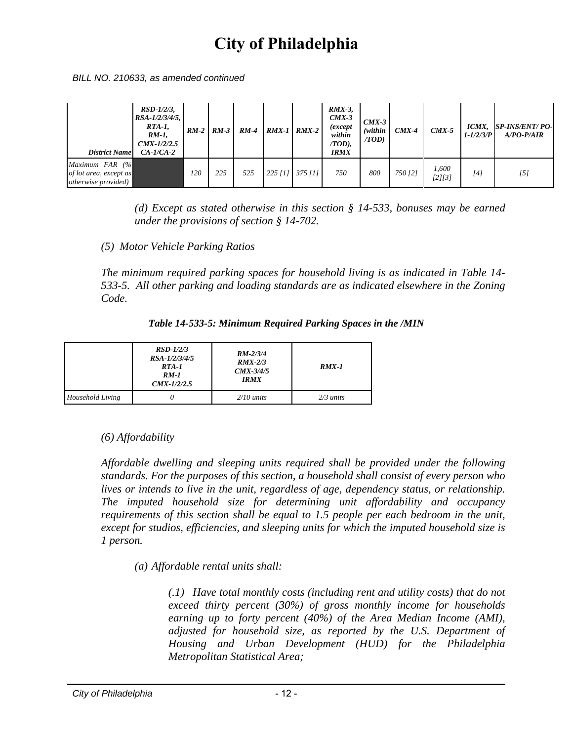*BILL NO. 210633, as amended continued*

| <b>District Name</b>                                                       | $RSD-1/2/3$ ,<br>$RSA - 1/2/3/4/5$ ,<br>$RTA-1$ ,<br>$RM-1$ .<br>$CMX-1/2/2.5$<br>$CA-I/CA-2$ |     | $RM-2$ $RM-3$ | $RM-4$ | $RMX-1$ $RMX-2$ | $RMX-3$ ,<br>$CMX-3$<br><i>(except</i> )<br>within<br>$(TOD)$ ,<br><b>IRMX</b> | $CMX-3$<br>(within<br>(TOD) | $CMX-4$ | $CMX-5$         | ICMX,<br>$1 - 1/2/3/P$ | <b>SP-INS/ENT/ PO-</b><br>$A/PO-P/AIR$ |
|----------------------------------------------------------------------------|-----------------------------------------------------------------------------------------------|-----|---------------|--------|-----------------|--------------------------------------------------------------------------------|-----------------------------|---------|-----------------|------------------------|----------------------------------------|
| Maximum $FAR$ (%)<br>of lot area, except as<br><i>otherwise provided</i> ) |                                                                                               | 120 | 225           | 525    | 225 [1] 375 [1] | 750                                                                            | 800                         | 750 [2] | 1,600<br>[2][3] | [4]                    | [5]                                    |

*(d) Except as stated otherwise in this section § 14-533, bonuses may be earned under the provisions of section § 14-702.* 

*(5) Motor Vehicle Parking Ratios* 

*The minimum required parking spaces for household living is as indicated in Table 14- 533-5. All other parking and loading standards are as indicated elsewhere in the Zoning Code.* 

*Table 14-533-5: Minimum Required Parking Spaces in the /MIN*

|                  | $RSD-1/2/3$<br>RSA-1/2/3/4/5<br>$RTA-I$<br>$RM-1$<br>$CMX-1/2/2.5$ | $RM - 2/3/4$<br>$RMX-2/3$<br>$CMX-3/4/5$<br><b>IRMX</b> | $RMX-1$     |
|------------------|--------------------------------------------------------------------|---------------------------------------------------------|-------------|
| Household Living |                                                                    | $2/10$ units                                            | $2/3$ units |

*(6) Affordability* 

*Affordable dwelling and sleeping units required shall be provided under the following standards. For the purposes of this section, a household shall consist of every person who lives or intends to live in the unit, regardless of age, dependency status, or relationship. The imputed household size for determining unit affordability and occupancy requirements of this section shall be equal to 1.5 people per each bedroom in the unit, except for studios, efficiencies, and sleeping units for which the imputed household size is 1 person.* 

*(a) Affordable rental units shall:* 

*(.1) Have total monthly costs (including rent and utility costs) that do not exceed thirty percent (30%) of gross monthly income for households earning up to forty percent (40%) of the Area Median Income (AMI), adjusted for household size, as reported by the U.S. Department of Housing and Urban Development (HUD) for the Philadelphia Metropolitan Statistical Area;*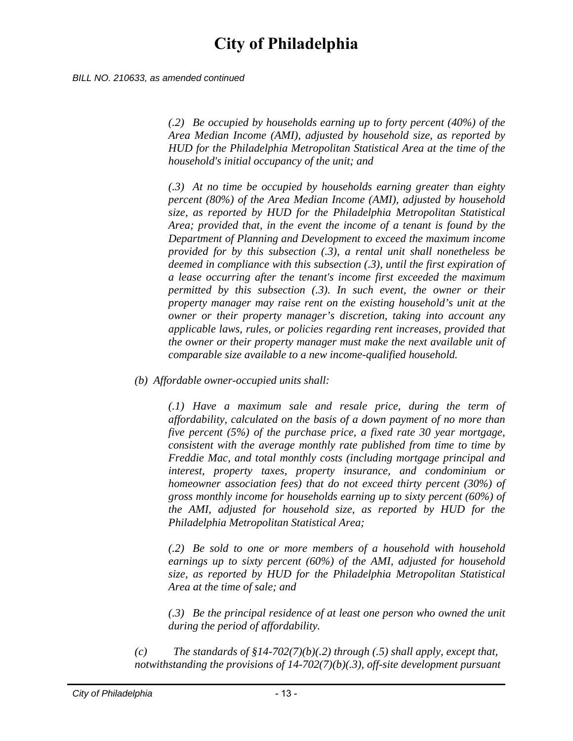*BILL NO. 210633, as amended continued*

*(.2) Be occupied by households earning up to forty percent (40%) of the Area Median Income (AMI), adjusted by household size, as reported by HUD for the Philadelphia Metropolitan Statistical Area at the time of the household's initial occupancy of the unit; and* 

*(.3) At no time be occupied by households earning greater than eighty percent (80%) of the Area Median Income (AMI), adjusted by household size, as reported by HUD for the Philadelphia Metropolitan Statistical Area; provided that, in the event the income of a tenant is found by the Department of Planning and Development to exceed the maximum income provided for by this subsection (.3), a rental unit shall nonetheless be deemed in compliance with this subsection (.3), until the first expiration of a lease occurring after the tenant's income first exceeded the maximum permitted by this subsection (.3). In such event, the owner or their property manager may raise rent on the existing household's unit at the owner or their property manager's discretion, taking into account any applicable laws, rules, or policies regarding rent increases, provided that the owner or their property manager must make the next available unit of comparable size available to a new income-qualified household.* 

*(b) Affordable owner-occupied units shall:* 

*(.1) Have a maximum sale and resale price, during the term of affordability, calculated on the basis of a down payment of no more than five percent (5%) of the purchase price, a fixed rate 30 year mortgage, consistent with the average monthly rate published from time to time by Freddie Mac, and total monthly costs (including mortgage principal and interest, property taxes, property insurance, and condominium or homeowner association fees) that do not exceed thirty percent (30%) of gross monthly income for households earning up to sixty percent (60%) of the AMI, adjusted for household size, as reported by HUD for the Philadelphia Metropolitan Statistical Area;* 

*(.2) Be sold to one or more members of a household with household earnings up to sixty percent (60%) of the AMI, adjusted for household size, as reported by HUD for the Philadelphia Metropolitan Statistical Area at the time of sale; and* 

*(.3) Be the principal residence of at least one person who owned the unit during the period of affordability.* 

*(c) The standards of §14-702(7)(b)(.2) through (.5) shall apply, except that, notwithstanding the provisions of 14-702(7)(b)(.3), off-site development pursuant*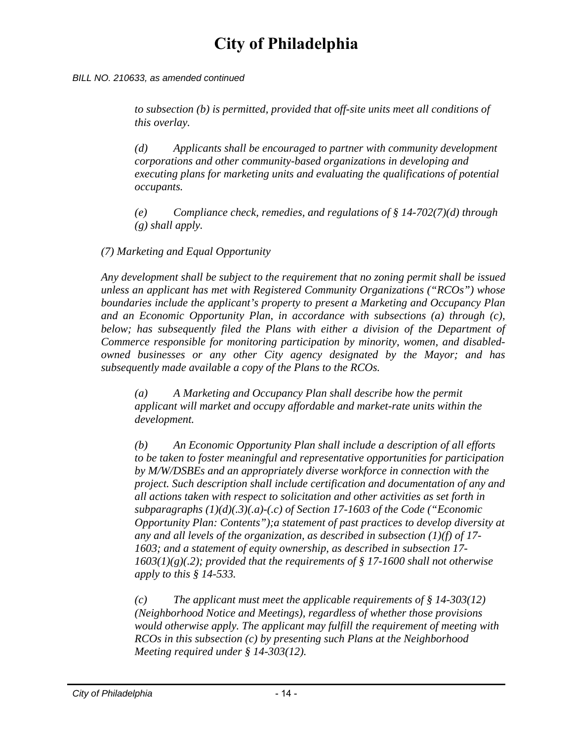#### *BILL NO. 210633, as amended continued*

*to subsection (b) is permitted, provided that off-site units meet all conditions of this overlay.* 

*(d) Applicants shall be encouraged to partner with community development corporations and other community-based organizations in developing and executing plans for marketing units and evaluating the qualifications of potential occupants.* 

*(e) Compliance check, remedies, and regulations of § 14-702(7)(d) through (g) shall apply.* 

*(7) Marketing and Equal Opportunity* 

*Any development shall be subject to the requirement that no zoning permit shall be issued unless an applicant has met with Registered Community Organizations ("RCOs") whose boundaries include the applicant's property to present a Marketing and Occupancy Plan and an Economic Opportunity Plan, in accordance with subsections (a) through (c),*  below; has subsequently filed the Plans with either a division of the Department of *Commerce responsible for monitoring participation by minority, women, and disabledowned businesses or any other City agency designated by the Mayor; and has subsequently made available a copy of the Plans to the RCOs.* 

*(a) A Marketing and Occupancy Plan shall describe how the permit applicant will market and occupy affordable and market-rate units within the development.* 

*(b) An Economic Opportunity Plan shall include a description of all efforts to be taken to foster meaningful and representative opportunities for participation by M/W/DSBEs and an appropriately diverse workforce in connection with the project. Such description shall include certification and documentation of any and all actions taken with respect to solicitation and other activities as set forth in subparagraphs (1)(d)(.3)(.a)-(.c) of Section 17-1603 of the Code ("Economic Opportunity Plan: Contents");a statement of past practices to develop diversity at any and all levels of the organization, as described in subsection (1)(f) of 17- 1603; and a statement of equity ownership, as described in subsection 17- 1603(1)(g)(.2); provided that the requirements of § 17-1600 shall not otherwise apply to this § 14-533.* 

*(c) The applicant must meet the applicable requirements of § 14-303(12) (Neighborhood Notice and Meetings), regardless of whether those provisions would otherwise apply. The applicant may fulfill the requirement of meeting with RCOs in this subsection (c) by presenting such Plans at the Neighborhood Meeting required under § 14-303(12).*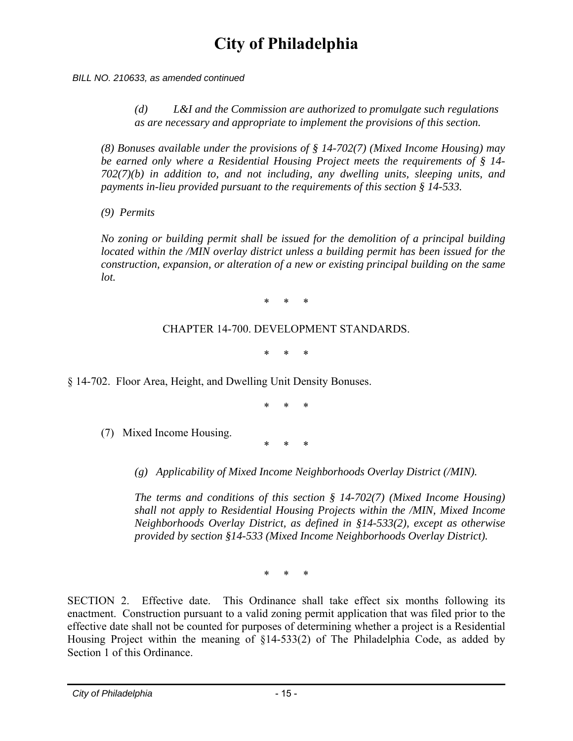*BILL NO. 210633, as amended continued*

*(d) L&I and the Commission are authorized to promulgate such regulations as are necessary and appropriate to implement the provisions of this section.* 

*(8) Bonuses available under the provisions of § 14-702(7) (Mixed Income Housing) may be earned only where a Residential Housing Project meets the requirements of § 14- 702(7)(b) in addition to, and not including, any dwelling units, sleeping units, and payments in-lieu provided pursuant to the requirements of this section § 14-533.* 

*(9) Permits* 

*No zoning or building permit shall be issued for the demolition of a principal building located within the /MIN overlay district unless a building permit has been issued for the construction, expansion, or alteration of a new or existing principal building on the same lot.* 

\* \* \*

#### CHAPTER 14-700. DEVELOPMENT STANDARDS.

\* \* \*

§ 14-702. Floor Area, Height, and Dwelling Unit Density Bonuses.

\* \* \*

\* \* \*

(7) Mixed Income Housing.

*(g) Applicability of Mixed Income Neighborhoods Overlay District (/MIN).* 

*The terms and conditions of this section § 14-702(7) (Mixed Income Housing) shall not apply to Residential Housing Projects within the /MIN, Mixed Income Neighborhoods Overlay District, as defined in §14-533(2), except as otherwise provided by section §14-533 (Mixed Income Neighborhoods Overlay District).* 

\* \* \*

SECTION 2. Effective date. This Ordinance shall take effect six months following its enactment. Construction pursuant to a valid zoning permit application that was filed prior to the effective date shall not be counted for purposes of determining whether a project is a Residential Housing Project within the meaning of §14-533(2) of The Philadelphia Code, as added by Section 1 of this Ordinance.